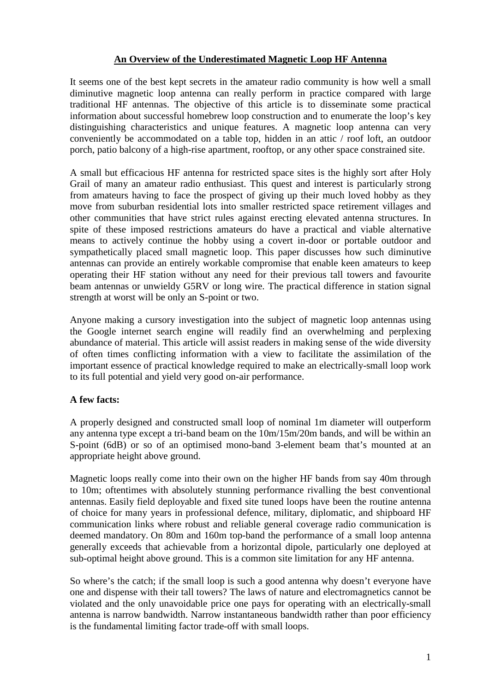# **An Overview of the Underestimated Magnetic Loop HF Antenna**

It seems one of the best kept secrets in the amateur radio community is how well a small diminutive magnetic loop antenna can really perform in practice compared with large traditional HF antennas. The objective of this article is to disseminate some practical information about successful homebrew loop construction and to enumerate the loop's key distinguishing characteristics and unique features. A magnetic loop antenna can very conveniently be accommodated on a table top, hidden in an attic / roof loft, an outdoor porch, patio balcony of a high-rise apartment, rooftop, or any other space constrained site.

A small but efficacious HF antenna for restricted space sites is the highly sort after Holy Grail of many an amateur radio enthusiast. This quest and interest is particularly strong from amateurs having to face the prospect of giving up their much loved hobby as they move from suburban residential lots into smaller restricted space retirement villages and other communities that have strict rules against erecting elevated antenna structures. In spite of these imposed restrictions amateurs do have a practical and viable alternative means to actively continue the hobby using a covert in-door or portable outdoor and sympathetically placed small magnetic loop. This paper discusses how such diminutive antennas can provide an entirely workable compromise that enable keen amateurs to keep operating their HF station without any need for their previous tall towers and favourite beam antennas or unwieldy G5RV or long wire. The practical difference in station signal strength at worst will be only an S-point or two.

Anyone making a cursory investigation into the subject of magnetic loop antennas using the Google internet search engine will readily find an overwhelming and perplexing abundance of material. This article will assist readers in making sense of the wide diversity of often times conflicting information with a view to facilitate the assimilation of the important essence of practical knowledge required to make an electrically-small loop work to its full potential and yield very good on-air performance.

# **A few facts:**

A properly designed and constructed small loop of nominal 1m diameter will outperform any antenna type except a tri-band beam on the 10m/15m/20m bands, and will be within an S-point (6dB) or so of an optimised mono-band 3-element beam that's mounted at an appropriate height above ground.

Magnetic loops really come into their own on the higher HF bands from say 40m through to 10m; oftentimes with absolutely stunning performance rivalling the best conventional antennas. Easily field deployable and fixed site tuned loops have been the routine antenna of choice for many years in professional defence, military, diplomatic, and shipboard HF communication links where robust and reliable general coverage radio communication is deemed mandatory. On 80m and 160m top-band the performance of a small loop antenna generally exceeds that achievable from a horizontal dipole, particularly one deployed at sub-optimal height above ground. This is a common site limitation for any HF antenna.

So where's the catch; if the small loop is such a good antenna why doesn't everyone have one and dispense with their tall towers? The laws of nature and electromagnetics cannot be violated and the only unavoidable price one pays for operating with an electrically-small antenna is narrow bandwidth. Narrow instantaneous bandwidth rather than poor efficiency is the fundamental limiting factor trade-off with small loops.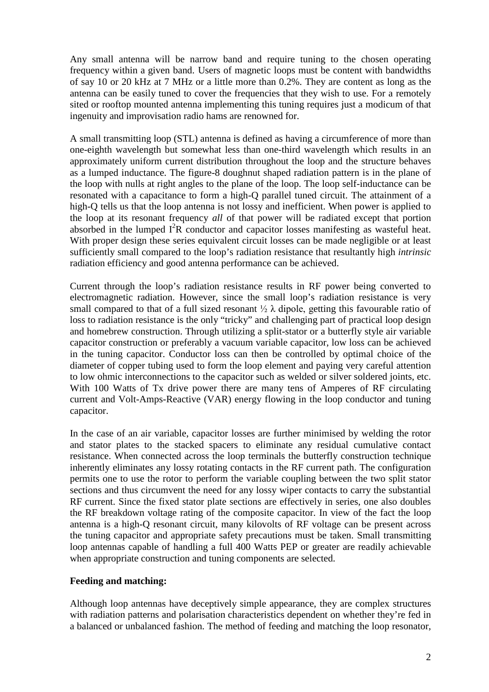Any small antenna will be narrow band and require tuning to the chosen operating frequency within a given band. Users of magnetic loops must be content with bandwidths of say 10 or 20 kHz at 7 MHz or a little more than 0.2%. They are content as long as the antenna can be easily tuned to cover the frequencies that they wish to use. For a remotely sited or rooftop mounted antenna implementing this tuning requires just a modicum of that ingenuity and improvisation radio hams are renowned for.

A small transmitting loop (STL) antenna is defined as having a circumference of more than one-eighth wavelength but somewhat less than one-third wavelength which results in an approximately uniform current distribution throughout the loop and the structure behaves as a lumped inductance. The figure-8 doughnut shaped radiation pattern is in the plane of the loop with nulls at right angles to the plane of the loop. The loop self-inductance can be resonated with a capacitance to form a high-Q parallel tuned circuit. The attainment of a high-Q tells us that the loop antenna is not lossy and inefficient. When power is applied to the loop at its resonant frequency *all* of that power will be radiated except that portion absorbed in the lumped  $I^2R$  conductor and capacitor losses manifesting as wasteful heat. With proper design these series equivalent circuit losses can be made negligible or at least sufficiently small compared to the loop's radiation resistance that resultantly high *intrinsic* radiation efficiency and good antenna performance can be achieved.

Current through the loop's radiation resistance results in RF power being converted to electromagnetic radiation. However, since the small loop's radiation resistance is very small compared to that of a full sized resonant  $\frac{1}{2} \lambda$  dipole, getting this favourable ratio of loss to radiation resistance is the only "tricky" and challenging part of practical loop design and homebrew construction. Through utilizing a split-stator or a butterfly style air variable capacitor construction or preferably a vacuum variable capacitor, low loss can be achieved in the tuning capacitor. Conductor loss can then be controlled by optimal choice of the diameter of copper tubing used to form the loop element and paying very careful attention to low ohmic interconnections to the capacitor such as welded or silver soldered joints, etc. With 100 Watts of Tx drive power there are many tens of Amperes of RF circulating current and Volt-Amps-Reactive (VAR) energy flowing in the loop conductor and tuning capacitor.

In the case of an air variable, capacitor losses are further minimised by welding the rotor and stator plates to the stacked spacers to eliminate any residual cumulative contact resistance. When connected across the loop terminals the butterfly construction technique inherently eliminates any lossy rotating contacts in the RF current path. The configuration permits one to use the rotor to perform the variable coupling between the two split stator sections and thus circumvent the need for any lossy wiper contacts to carry the substantial RF current. Since the fixed stator plate sections are effectively in series, one also doubles the RF breakdown voltage rating of the composite capacitor. In view of the fact the loop antenna is a high-Q resonant circuit, many kilovolts of RF voltage can be present across the tuning capacitor and appropriate safety precautions must be taken. Small transmitting loop antennas capable of handling a full 400 Watts PEP or greater are readily achievable when appropriate construction and tuning components are selected.

# **Feeding and matching:**

Although loop antennas have deceptively simple appearance, they are complex structures with radiation patterns and polarisation characteristics dependent on whether they're fed in a balanced or unbalanced fashion. The method of feeding and matching the loop resonator,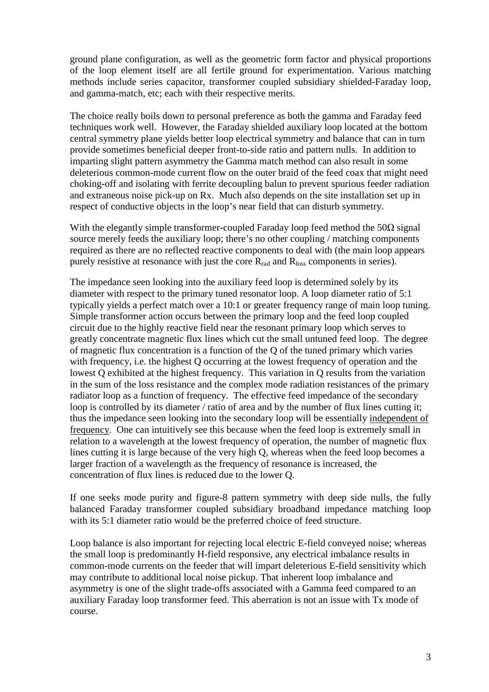ground plane configuration, as well as the geometric form factor and physical proportions of the loop element itself are all fertile ground for experimentation. Various matching methods include series capacitor, transformer coupled subsidiary shielded-Faraday loop, and gamma-match, etc; each with their respective merits.

The choice really boils down to personal preference as both the gamma and Faraday feed techniques work well. However, the Faraday shielded auxiliary loop located at the bottom central symmetry plane yields better loop electrical symmetry and balance that can in turn provide sometimes beneficial deeper front-to-side ratio and pattern nulls. In addition to imparting slight pattern asymmetry the Gamma match method can also result in some deleterious common-mode current flow on the outer braid of the feed coax that might need choking-off and isolating with ferrite decoupling balun to prevent spurious feeder radiation and extraneous noise pick-up on Rx. Much also depends on the site installation set up in respect of conductive objects in the loop's near field that can disturb symmetry.

With the elegantly simple transformer-coupled Faraday loop feed method the  $50\Omega$  signal source merely feeds the auxiliary loop; there's no other coupling / matching components required as there are no reflected reactive components to deal with (the main loop appears purely resistive at resonance with just the core  $R_{rad}$  and  $R_{loss}$  components in series).

The impedance seen looking into the auxiliary feed loop is determined solely by its diameter with respect to the primary tuned resonator loop. A loop diameter ratio of 5:1 typically yields a perfect match over a 10:1 or greater frequency range of main loop tuning. Simple transformer action occurs between the primary loop and the feed loop coupled circuit due to the highly reactive field near the resonant primary loop which serves to greatly concentrate magnetic flux lines which cut the small untuned feed loop. The degree of magnetic flux concentration is a function of the Q of the tuned primary which varies with frequency, i.e. the highest Q occurring at the lowest frequency of operation and the lowest Q exhibited at the highest frequency. This variation in Q results from the variation in the sum of the loss resistance and the complex mode radiation resistances of the primary radiator loop as a function of frequency. The effective feed impedance of the secondary loop is controlled by its diameter / ratio of area and by the number of flux lines cutting it; thus the impedance seen looking into the secondary loop will be essentially independent of frequency. One can intuitively see this because when the feed loop is extremely small in relation to a wavelength at the lowest frequency of operation, the number of magnetic flux lines cutting it is large because of the very high Q, whereas when the feed loop becomes a larger fraction of a wavelength as the frequency of resonance is increased, the concentration of flux lines is reduced due to the lower Q.

If one seeks mode purity and figure-8 pattern symmetry with deep side nulls, the fully balanced Faraday transformer coupled subsidiary broadband impedance matching loop with its 5:1 diameter ratio would be the preferred choice of feed structure.

Loop balance is also important for rejecting local electric E-field conveyed noise; whereas the small loop is predominantly H-field responsive, any electrical imbalance results in common-mode currents on the feeder that will impart deleterious E-field sensitivity which may contribute to additional local noise pickup. That inherent loop imbalance and asymmetry is one of the slight trade-offs associated with a Gamma feed compared to an auxiliary Faraday loop transformer feed. This aberration is not an issue with Tx mode of course.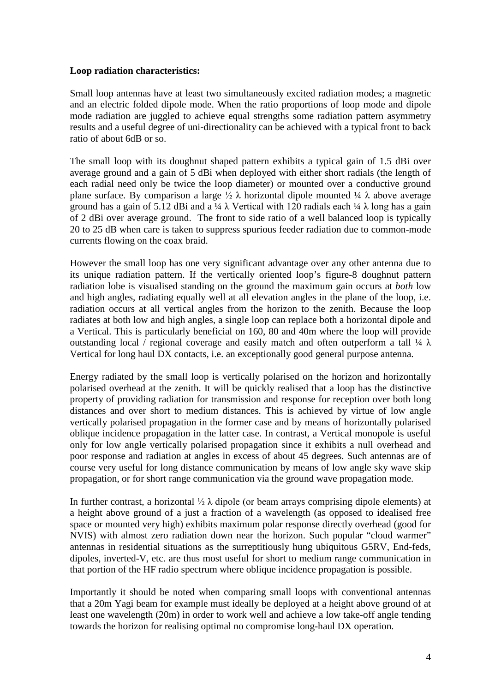#### **Loop radiation characteristics:**

Small loop antennas have at least two simultaneously excited radiation modes; a magnetic and an electric folded dipole mode. When the ratio proportions of loop mode and dipole mode radiation are juggled to achieve equal strengths some radiation pattern asymmetry results and a useful degree of uni-directionality can be achieved with a typical front to back ratio of about 6dB or so.

The small loop with its doughnut shaped pattern exhibits a typical gain of 1.5 dBi over average ground and a gain of 5 dBi when deployed with either short radials (the length of each radial need only be twice the loop diameter) or mounted over a conductive ground plane surface. By comparison a large  $\frac{1}{2} \lambda$  horizontal dipole mounted  $\frac{1}{4} \lambda$  above average ground has a gain of 5.12 dBi and a ¼  $\lambda$  Vertical with 120 radials each ¼  $\lambda$  long has a gain of 2 dBi over average ground. The front to side ratio of a well balanced loop is typically 20 to 25 dB when care is taken to suppress spurious feeder radiation due to common-mode currents flowing on the coax braid.

However the small loop has one very significant advantage over any other antenna due to its unique radiation pattern. If the vertically oriented loop's figure-8 doughnut pattern radiation lobe is visualised standing on the ground the maximum gain occurs at *both* low and high angles, radiating equally well at all elevation angles in the plane of the loop, i.e. radiation occurs at all vertical angles from the horizon to the zenith. Because the loop radiates at both low and high angles, a single loop can replace both a horizontal dipole and a Vertical. This is particularly beneficial on 160, 80 and 40m where the loop will provide outstanding local / regional coverage and easily match and often outperform a tall  $\frac{1}{4} \lambda$ Vertical for long haul DX contacts, i.e. an exceptionally good general purpose antenna.

Energy radiated by the small loop is vertically polarised on the horizon and horizontally polarised overhead at the zenith. It will be quickly realised that a loop has the distinctive property of providing radiation for transmission and response for reception over both long distances and over short to medium distances. This is achieved by virtue of low angle vertically polarised propagation in the former case and by means of horizontally polarised oblique incidence propagation in the latter case. In contrast, a Vertical monopole is useful only for low angle vertically polarised propagation since it exhibits a null overhead and poor response and radiation at angles in excess of about 45 degrees. Such antennas are of course very useful for long distance communication by means of low angle sky wave skip propagation, or for short range communication via the ground wave propagation mode.

In further contrast, a horizontal  $\frac{1}{2} \lambda$  dipole (or beam arrays comprising dipole elements) at a height above ground of a just a fraction of a wavelength (as opposed to idealised free space or mounted very high) exhibits maximum polar response directly overhead (good for NVIS) with almost zero radiation down near the horizon. Such popular "cloud warmer" antennas in residential situations as the surreptitiously hung ubiquitous G5RV, End-feds, dipoles, inverted-V, etc. are thus most useful for short to medium range communication in that portion of the HF radio spectrum where oblique incidence propagation is possible.

Importantly it should be noted when comparing small loops with conventional antennas that a 20m Yagi beam for example must ideally be deployed at a height above ground of at least one wavelength (20m) in order to work well and achieve a low take-off angle tending towards the horizon for realising optimal no compromise long-haul DX operation.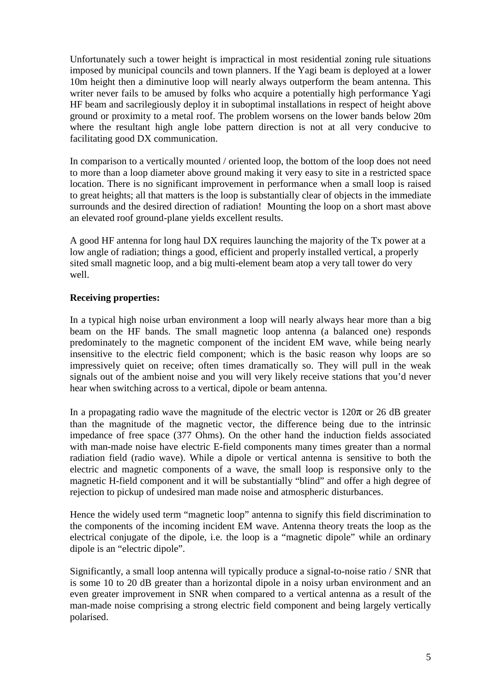Unfortunately such a tower height is impractical in most residential zoning rule situations imposed by municipal councils and town planners. If the Yagi beam is deployed at a lower 10m height then a diminutive loop will nearly always outperform the beam antenna. This writer never fails to be amused by folks who acquire a potentially high performance Yagi HF beam and sacrilegiously deploy it in suboptimal installations in respect of height above ground or proximity to a metal roof. The problem worsens on the lower bands below 20m where the resultant high angle lobe pattern direction is not at all very conducive to facilitating good DX communication.

In comparison to a vertically mounted / oriented loop, the bottom of the loop does not need to more than a loop diameter above ground making it very easy to site in a restricted space location. There is no significant improvement in performance when a small loop is raised to great heights; all that matters is the loop is substantially clear of objects in the immediate surrounds and the desired direction of radiation! Mounting the loop on a short mast above an elevated roof ground-plane yields excellent results.

A good HF antenna for long haul DX requires launching the majority of the Tx power at a low angle of radiation; things a good, efficient and properly installed vertical, a properly sited small magnetic loop, and a big multi-element beam atop a very tall tower do very well.

# **Receiving properties:**

In a typical high noise urban environment a loop will nearly always hear more than a big beam on the HF bands. The small magnetic loop antenna (a balanced one) responds predominately to the magnetic component of the incident EM wave, while being nearly insensitive to the electric field component; which is the basic reason why loops are so impressively quiet on receive; often times dramatically so. They will pull in the weak signals out of the ambient noise and you will very likely receive stations that you'd never hear when switching across to a vertical, dipole or beam antenna.

In a propagating radio wave the magnitude of the electric vector is  $120\pi$  or 26 dB greater than the magnitude of the magnetic vector, the difference being due to the intrinsic impedance of free space (377 Ohms). On the other hand the induction fields associated with man-made noise have electric E-field components many times greater than a normal radiation field (radio wave). While a dipole or vertical antenna is sensitive to both the electric and magnetic components of a wave, the small loop is responsive only to the magnetic H-field component and it will be substantially "blind" and offer a high degree of rejection to pickup of undesired man made noise and atmospheric disturbances.

Hence the widely used term "magnetic loop" antenna to signify this field discrimination to the components of the incoming incident EM wave. Antenna theory treats the loop as the electrical conjugate of the dipole, i.e. the loop is a "magnetic dipole" while an ordinary dipole is an "electric dipole".

Significantly, a small loop antenna will typically produce a signal-to-noise ratio / SNR that is some 10 to 20 dB greater than a horizontal dipole in a noisy urban environment and an even greater improvement in SNR when compared to a vertical antenna as a result of the man-made noise comprising a strong electric field component and being largely vertically polarised.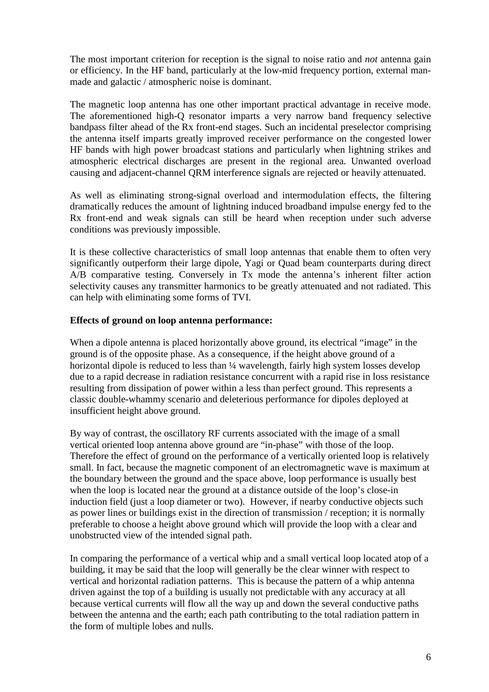The most important criterion for reception is the signal to noise ratio and *not* antenna gain or efficiency. In the HF band, particularly at the low-mid frequency portion, external manmade and galactic / atmospheric noise is dominant.

The magnetic loop antenna has one other important practical advantage in receive mode. The aforementioned high-Q resonator imparts a very narrow band frequency selective bandpass filter ahead of the Rx front-end stages. Such an incidental preselector comprising the antenna itself imparts greatly improved receiver performance on the congested lower HF bands with high power broadcast stations and particularly when lightning strikes and atmospheric electrical discharges are present in the regional area. Unwanted overload causing and adjacent-channel QRM interference signals are rejected or heavily attenuated.

As well as eliminating strong-signal overload and intermodulation effects, the filtering dramatically reduces the amount of lightning induced broadband impulse energy fed to the Rx front-end and weak signals can still be heard when reception under such adverse conditions was previously impossible.

It is these collective characteristics of small loop antennas that enable them to often very significantly outperform their large dipole, Yagi or Quad beam counterparts during direct A/B comparative testing. Conversely in Tx mode the antenna's inherent filter action selectivity causes any transmitter harmonics to be greatly attenuated and not radiated. This can help with eliminating some forms of TVI.

### **Effects of ground on loop antenna performance:**

When a dipole antenna is placed horizontally above ground, its electrical "image" in the ground is of the opposite phase. As a consequence, if the height above ground of a horizontal dipole is reduced to less than  $\frac{1}{4}$  wavelength, fairly high system losses develop due to a rapid decrease in radiation resistance concurrent with a rapid rise in loss resistance resulting from dissipation of power within a less than perfect ground. This represents a classic double-whammy scenario and deleterious performance for dipoles deployed at insufficient height above ground.

By way of contrast, the oscillatory RF currents associated with the image of a small vertical oriented loop antenna above ground are "in-phase" with those of the loop. Therefore the effect of ground on the performance of a vertically oriented loop is relatively small. In fact, because the magnetic component of an electromagnetic wave is maximum at the boundary between the ground and the space above, loop performance is usually best when the loop is located near the ground at a distance outside of the loop's close-in induction field (just a loop diameter or two). However, if nearby conductive objects such as power lines or buildings exist in the direction of transmission / reception; it is normally preferable to choose a height above ground which will provide the loop with a clear and unobstructed view of the intended signal path.

In comparing the performance of a vertical whip and a small vertical loop located atop of a building, it may be said that the loop will generally be the clear winner with respect to vertical and horizontal radiation patterns. This is because the pattern of a whip antenna driven against the top of a building is usually not predictable with any accuracy at all because vertical currents will flow all the way up and down the several conductive paths between the antenna and the earth; each path contributing to the total radiation pattern in the form of multiple lobes and nulls.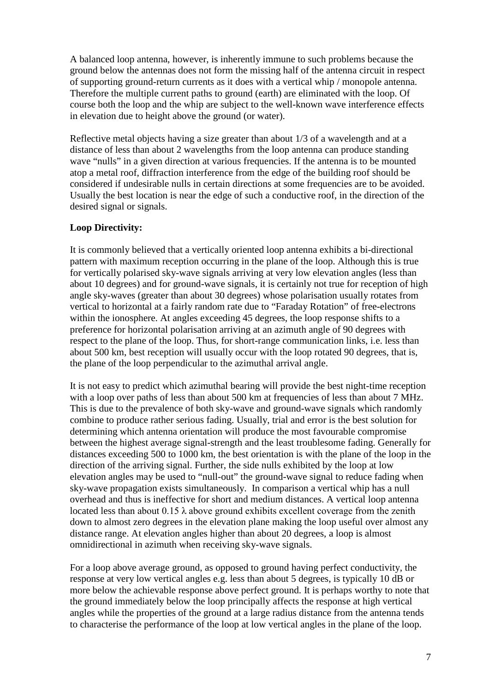A balanced loop antenna, however, is inherently immune to such problems because the ground below the antennas does not form the missing half of the antenna circuit in respect of supporting ground-return currents as it does with a vertical whip / monopole antenna. Therefore the multiple current paths to ground (earth) are eliminated with the loop. Of course both the loop and the whip are subject to the well-known wave interference effects in elevation due to height above the ground (or water).

Reflective metal objects having a size greater than about 1/3 of a wavelength and at a distance of less than about 2 wavelengths from the loop antenna can produce standing wave "nulls" in a given direction at various frequencies. If the antenna is to be mounted atop a metal roof, diffraction interference from the edge of the building roof should be considered if undesirable nulls in certain directions at some frequencies are to be avoided. Usually the best location is near the edge of such a conductive roof, in the direction of the desired signal or signals.

# **Loop Directivity:**

It is commonly believed that a vertically oriented loop antenna exhibits a bi-directional pattern with maximum reception occurring in the plane of the loop. Although this is true for vertically polarised sky-wave signals arriving at very low elevation angles (less than about 10 degrees) and for ground-wave signals, it is certainly not true for reception of high angle sky-waves (greater than about 30 degrees) whose polarisation usually rotates from vertical to horizontal at a fairly random rate due to "Faraday Rotation" of free-electrons within the ionosphere. At angles exceeding 45 degrees, the loop response shifts to a preference for horizontal polarisation arriving at an azimuth angle of 90 degrees with respect to the plane of the loop. Thus, for short-range communication links, i.e. less than about 500 km, best reception will usually occur with the loop rotated 90 degrees, that is, the plane of the loop perpendicular to the azimuthal arrival angle.

It is not easy to predict which azimuthal bearing will provide the best night-time reception with a loop over paths of less than about 500 km at frequencies of less than about 7 MHz. This is due to the prevalence of both sky-wave and ground-wave signals which randomly combine to produce rather serious fading. Usually, trial and error is the best solution for determining which antenna orientation will produce the most favourable compromise between the highest average signal-strength and the least troublesome fading. Generally for distances exceeding 500 to 1000 km, the best orientation is with the plane of the loop in the direction of the arriving signal. Further, the side nulls exhibited by the loop at low elevation angles may be used to "null-out" the ground-wave signal to reduce fading when sky-wave propagation exists simultaneously. In comparison a vertical whip has a null overhead and thus is ineffective for short and medium distances. A vertical loop antenna located less than about  $0.15 \lambda$  above ground exhibits excellent coverage from the zenith down to almost zero degrees in the elevation plane making the loop useful over almost any distance range. At elevation angles higher than about 20 degrees, a loop is almost omnidirectional in azimuth when receiving sky-wave signals.

For a loop above average ground, as opposed to ground having perfect conductivity, the response at very low vertical angles e.g. less than about 5 degrees, is typically 10 dB or more below the achievable response above perfect ground. It is perhaps worthy to note that the ground immediately below the loop principally affects the response at high vertical angles while the properties of the ground at a large radius distance from the antenna tends to characterise the performance of the loop at low vertical angles in the plane of the loop.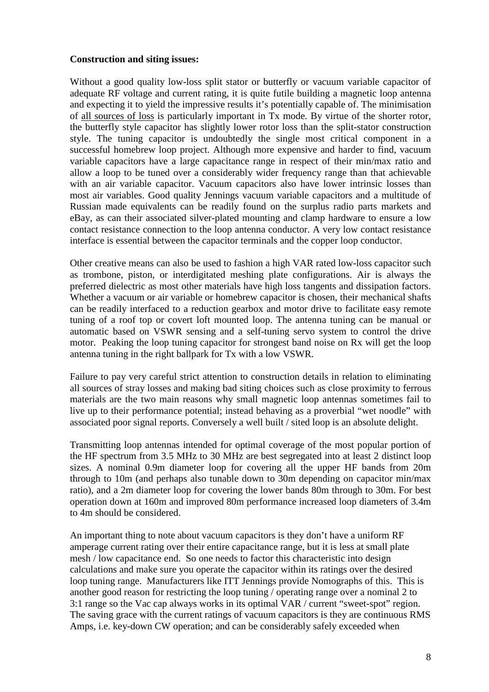### **Construction and siting issues:**

Without a good quality low-loss split stator or butterfly or vacuum variable capacitor of adequate RF voltage and current rating, it is quite futile building a magnetic loop antenna and expecting it to yield the impressive results it's potentially capable of. The minimisation of all sources of loss is particularly important in Tx mode. By virtue of the shorter rotor, the butterfly style capacitor has slightly lower rotor loss than the split-stator construction style. The tuning capacitor is undoubtedly the single most critical component in a successful homebrew loop project. Although more expensive and harder to find, vacuum variable capacitors have a large capacitance range in respect of their min/max ratio and allow a loop to be tuned over a considerably wider frequency range than that achievable with an air variable capacitor. Vacuum capacitors also have lower intrinsic losses than most air variables. Good quality Jennings vacuum variable capacitors and a multitude of Russian made equivalents can be readily found on the surplus radio parts markets and eBay, as can their associated silver-plated mounting and clamp hardware to ensure a low contact resistance connection to the loop antenna conductor. A very low contact resistance interface is essential between the capacitor terminals and the copper loop conductor.

Other creative means can also be used to fashion a high VAR rated low-loss capacitor such as trombone, piston, or interdigitated meshing plate configurations. Air is always the preferred dielectric as most other materials have high loss tangents and dissipation factors. Whether a vacuum or air variable or homebrew capacitor is chosen, their mechanical shafts can be readily interfaced to a reduction gearbox and motor drive to facilitate easy remote tuning of a roof top or covert loft mounted loop. The antenna tuning can be manual or automatic based on VSWR sensing and a self-tuning servo system to control the drive motor. Peaking the loop tuning capacitor for strongest band noise on Rx will get the loop antenna tuning in the right ballpark for Tx with a low VSWR.

Failure to pay very careful strict attention to construction details in relation to eliminating all sources of stray losses and making bad siting choices such as close proximity to ferrous materials are the two main reasons why small magnetic loop antennas sometimes fail to live up to their performance potential; instead behaving as a proverbial "wet noodle" with associated poor signal reports. Conversely a well built / sited loop is an absolute delight.

Transmitting loop antennas intended for optimal coverage of the most popular portion of the HF spectrum from 3.5 MHz to 30 MHz are best segregated into at least 2 distinct loop sizes. A nominal 0.9m diameter loop for covering all the upper HF bands from 20m through to 10m (and perhaps also tunable down to 30m depending on capacitor min/max ratio), and a 2m diameter loop for covering the lower bands 80m through to 30m. For best operation down at 160m and improved 80m performance increased loop diameters of 3.4m to 4m should be considered.

An important thing to note about vacuum capacitors is they don't have a uniform RF amperage current rating over their entire capacitance range, but it is less at small plate mesh / low capacitance end. So one needs to factor this characteristic into design calculations and make sure you operate the capacitor within its ratings over the desired loop tuning range. Manufacturers like ITT Jennings provide Nomographs of this. This is another good reason for restricting the loop tuning / operating range over a nominal 2 to 3:1 range so the Vac cap always works in its optimal VAR / current "sweet-spot" region. The saving grace with the current ratings of vacuum capacitors is they are continuous RMS Amps, i.e. key-down CW operation; and can be considerably safely exceeded when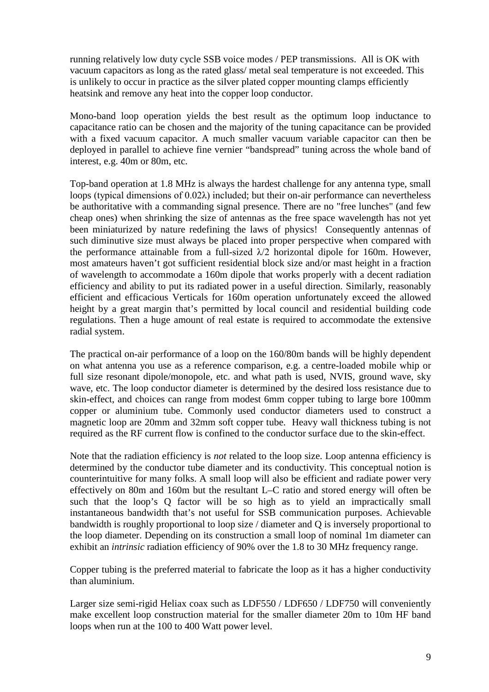running relatively low duty cycle SSB voice modes / PEP transmissions. All is OK with vacuum capacitors as long as the rated glass/ metal seal temperature is not exceeded. This is unlikely to occur in practice as the silver plated copper mounting clamps efficiently heatsink and remove any heat into the copper loop conductor.

Mono-band loop operation yields the best result as the optimum loop inductance to capacitance ratio can be chosen and the majority of the tuning capacitance can be provided with a fixed vacuum capacitor. A much smaller vacuum variable capacitor can then be deployed in parallel to achieve fine vernier "bandspread" tuning across the whole band of interest, e.g. 40m or 80m, etc.

Top-band operation at 1.8 MHz is always the hardest challenge for any antenna type, small loops (typical dimensions of 0.02λ) included; but their on-air performance can nevertheless be authoritative with a commanding signal presence. There are no "free lunches" (and few cheap ones) when shrinking the size of antennas as the free space wavelength has not yet been miniaturized by nature redefining the laws of physics! Consequently antennas of such diminutive size must always be placed into proper perspective when compared with the performance attainable from a full-sized  $\lambda/2$  horizontal dipole for 160m. However, most amateurs haven't got sufficient residential block size and/or mast height in a fraction of wavelength to accommodate a 160m dipole that works properly with a decent radiation efficiency and ability to put its radiated power in a useful direction. Similarly, reasonably efficient and efficacious Verticals for 160m operation unfortunately exceed the allowed height by a great margin that's permitted by local council and residential building code regulations. Then a huge amount of real estate is required to accommodate the extensive radial system.

The practical on-air performance of a loop on the 160/80m bands will be highly dependent on what antenna you use as a reference comparison, e.g. a centre-loaded mobile whip or full size resonant dipole/monopole, etc. and what path is used, NVIS, ground wave, sky wave, etc. The loop conductor diameter is determined by the desired loss resistance due to skin-effect, and choices can range from modest 6mm copper tubing to large bore 100mm copper or aluminium tube. Commonly used conductor diameters used to construct a magnetic loop are 20mm and 32mm soft copper tube. Heavy wall thickness tubing is not required as the RF current flow is confined to the conductor surface due to the skin-effect.

Note that the radiation efficiency is *not* related to the loop size. Loop antenna efficiency is determined by the conductor tube diameter and its conductivity. This conceptual notion is counterintuitive for many folks. A small loop will also be efficient and radiate power very effectively on 80m and 160m but the resultant L–C ratio and stored energy will often be such that the loop's Q factor will be so high as to yield an impractically small instantaneous bandwidth that's not useful for SSB communication purposes. Achievable bandwidth is roughly proportional to loop size / diameter and Q is inversely proportional to the loop diameter. Depending on its construction a small loop of nominal 1m diameter can exhibit an *intrinsic* radiation efficiency of 90% over the 1.8 to 30 MHz frequency range.

Copper tubing is the preferred material to fabricate the loop as it has a higher conductivity than aluminium.

Larger size semi-rigid Heliax coax such as LDF550 / LDF650 / LDF750 will conveniently make excellent loop construction material for the smaller diameter 20m to 10m HF band loops when run at the 100 to 400 Watt power level.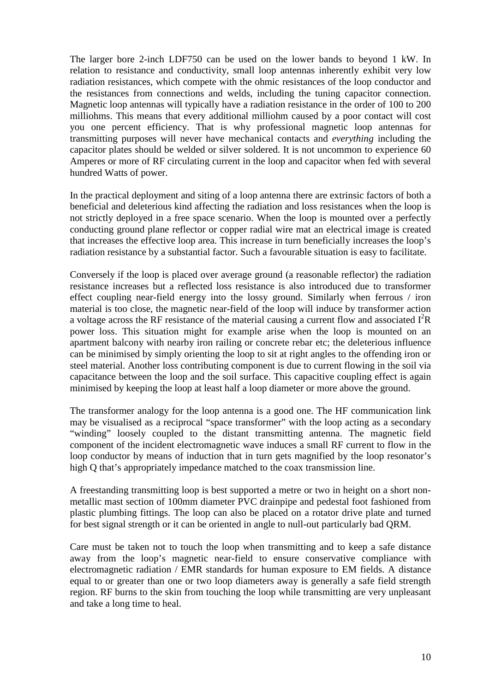The larger bore 2-inch LDF750 can be used on the lower bands to beyond 1 kW. In relation to resistance and conductivity, small loop antennas inherently exhibit very low radiation resistances, which compete with the ohmic resistances of the loop conductor and the resistances from connections and welds, including the tuning capacitor connection. Magnetic loop antennas will typically have a radiation resistance in the order of 100 to 200 milliohms. This means that every additional milliohm caused by a poor contact will cost you one percent efficiency. That is why professional magnetic loop antennas for transmitting purposes will never have mechanical contacts and *everything* including the capacitor plates should be welded or silver soldered. It is not uncommon to experience 60 Amperes or more of RF circulating current in the loop and capacitor when fed with several hundred Watts of power.

In the practical deployment and siting of a loop antenna there are extrinsic factors of both a beneficial and deleterious kind affecting the radiation and loss resistances when the loop is not strictly deployed in a free space scenario. When the loop is mounted over a perfectly conducting ground plane reflector or copper radial wire mat an electrical image is created that increases the effective loop area. This increase in turn beneficially increases the loop's radiation resistance by a substantial factor. Such a favourable situation is easy to facilitate.

Conversely if the loop is placed over average ground (a reasonable reflector) the radiation resistance increases but a reflected loss resistance is also introduced due to transformer effect coupling near-field energy into the lossy ground. Similarly when ferrous / iron material is too close, the magnetic near-field of the loop will induce by transformer action a voltage across the RF resistance of the material causing a current flow and associated  $I^2R$ power loss. This situation might for example arise when the loop is mounted on an apartment balcony with nearby iron railing or concrete rebar etc; the deleterious influence can be minimised by simply orienting the loop to sit at right angles to the offending iron or steel material. Another loss contributing component is due to current flowing in the soil via capacitance between the loop and the soil surface. This capacitive coupling effect is again minimised by keeping the loop at least half a loop diameter or more above the ground.

The transformer analogy for the loop antenna is a good one. The HF communication link may be visualised as a reciprocal "space transformer" with the loop acting as a secondary "winding" loosely coupled to the distant transmitting antenna. The magnetic field component of the incident electromagnetic wave induces a small RF current to flow in the loop conductor by means of induction that in turn gets magnified by the loop resonator's high Q that's appropriately impedance matched to the coax transmission line.

A freestanding transmitting loop is best supported a metre or two in height on a short nonmetallic mast section of 100mm diameter PVC drainpipe and pedestal foot fashioned from plastic plumbing fittings. The loop can also be placed on a rotator drive plate and turned for best signal strength or it can be oriented in angle to null-out particularly bad QRM.

Care must be taken not to touch the loop when transmitting and to keep a safe distance away from the loop's magnetic near-field to ensure conservative compliance with electromagnetic radiation / EMR standards for human exposure to EM fields. A distance equal to or greater than one or two loop diameters away is generally a safe field strength region. RF burns to the skin from touching the loop while transmitting are very unpleasant and take a long time to heal.